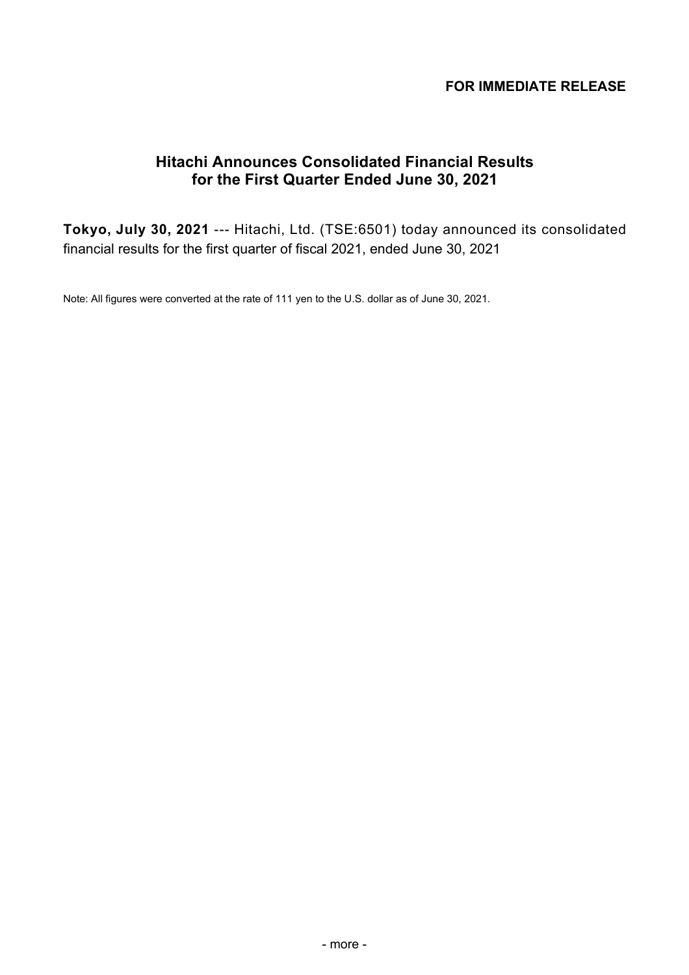# **FOR IMMEDIATE RELEASE**

# **Hitachi Announces Consolidated Financial Results for the First Quarter Ended June 30, 2021**

**Tokyo, July 30, 2021** --- Hitachi, Ltd. (TSE:6501) today announced its consolidated financial results for the first quarter of fiscal 2021, ended June 30, 2021

Note: All figures were converted at the rate of 111 yen to the U.S. dollar as of June 30, 2021.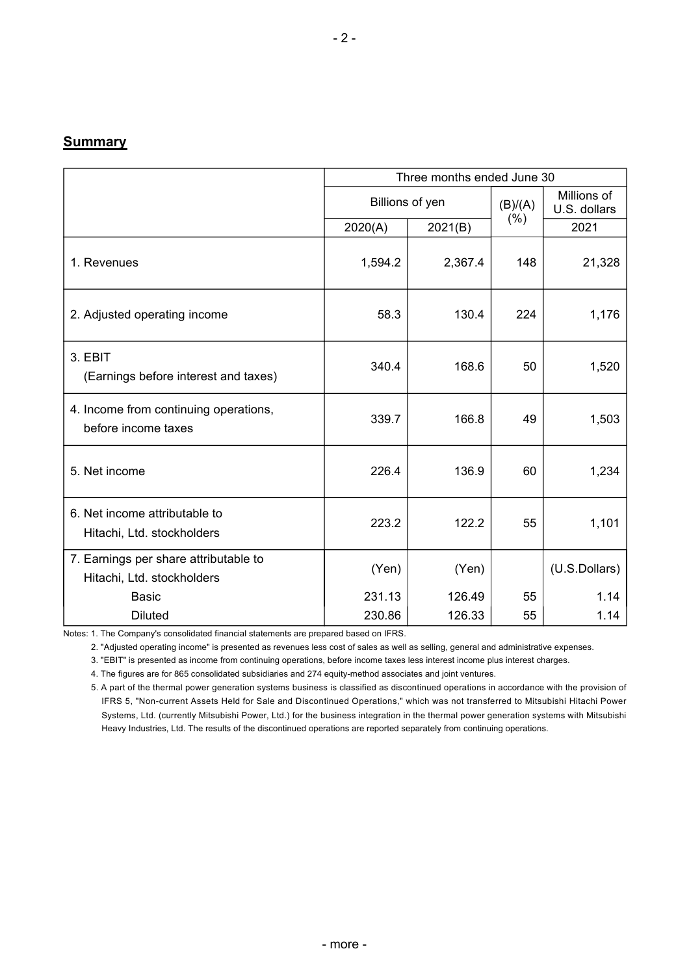### **Summary**

|                                                                     | Three months ended June 30 |                 |         |                             |  |  |
|---------------------------------------------------------------------|----------------------------|-----------------|---------|-----------------------------|--|--|
|                                                                     |                            | Billions of yen | (B)/(A) | Millions of<br>U.S. dollars |  |  |
|                                                                     | 2020(A)                    | 2021(B)         | (% )    | 2021                        |  |  |
| 1. Revenues                                                         | 1,594.2                    | 2,367.4         | 148     | 21,328                      |  |  |
| 2. Adjusted operating income                                        | 58.3                       | 130.4           | 224     | 1,176                       |  |  |
| 3. EBIT<br>(Earnings before interest and taxes)                     | 340.4                      | 168.6           | 50      | 1,520                       |  |  |
| 4. Income from continuing operations,<br>before income taxes        | 339.7                      | 166.8           | 49      | 1,503                       |  |  |
| 5. Net income                                                       | 226.4                      | 136.9           | 60      | 1,234                       |  |  |
| 6. Net income attributable to<br>Hitachi, Ltd. stockholders         | 223.2                      | 122.2           | 55      | 1,101                       |  |  |
| 7. Earnings per share attributable to<br>Hitachi, Ltd. stockholders | (Yen)                      | (Yen)           |         | (U.S.Dollars)               |  |  |
| <b>Basic</b>                                                        | 231.13                     | 126.49          | 55      | 1.14                        |  |  |
| <b>Diluted</b>                                                      | 230.86                     | 126.33          | 55      | 1.14                        |  |  |

Notes: 1. The Company's consolidated financial statements are prepared based on IFRS.

2. "Adjusted operating income" is presented as revenues less cost of sales as well as selling, general and administrative expenses.

3. "EBIT" is presented as income from continuing operations, before income taxes less interest income plus interest charges.

4. The figures are for 865 consolidated subsidiaries and 274 equity-method associates and joint ventures.

5. A part of the thermal power generation systems business is classified as discontinued operations in accordance with the provision of IFRS 5, "Non-current Assets Held for Sale and Discontinued Operations," which was not transferred to Mitsubishi Hitachi Power Systems, Ltd. (currently Mitsubishi Power, Ltd.) for the business integration in the thermal power generation systems with Mitsubishi Heavy Industries, Ltd. The results of the discontinued operations are reported separately from continuing operations.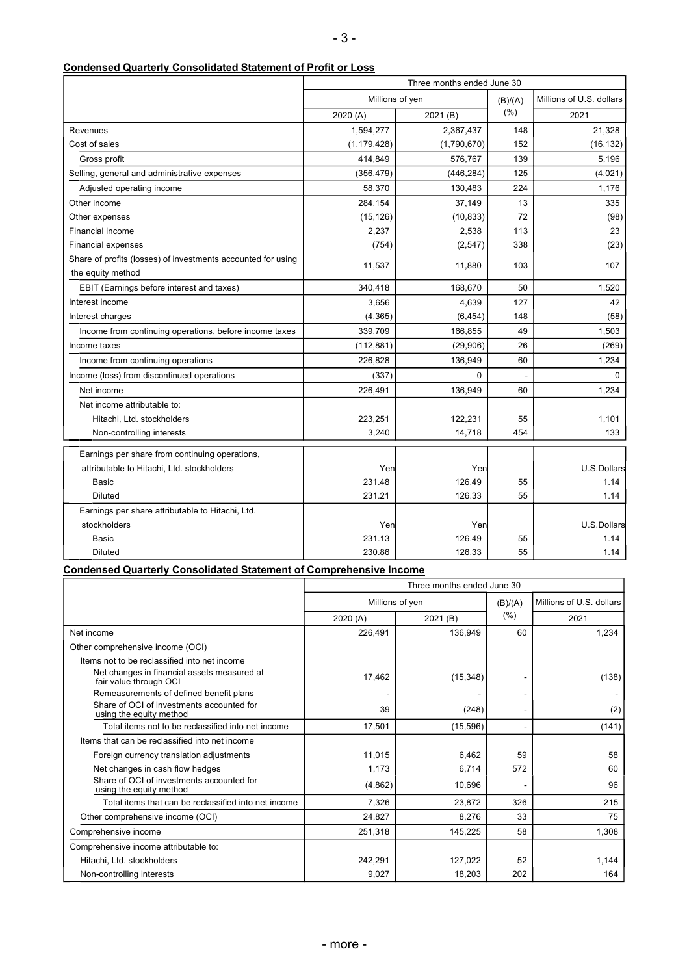### **Condensed Quarterly Consolidated Statement of Profit or Loss**

|                                                              | Three months ended June 30 |             |         |                          |  |
|--------------------------------------------------------------|----------------------------|-------------|---------|--------------------------|--|
|                                                              | Millions of yen            |             | (B)/(A) | Millions of U.S. dollars |  |
|                                                              | 2020(A)                    | 2021 (B)    | (% )    | 2021                     |  |
| Revenues                                                     | 1,594,277                  | 2,367,437   | 148     | 21,328                   |  |
| Cost of sales                                                | (1, 179, 428)              | (1,790,670) | 152     | (16, 132)                |  |
| Gross profit                                                 | 414,849                    | 576,767     | 139     | 5,196                    |  |
| Selling, general and administrative expenses                 | (356, 479)                 | (446, 284)  | 125     | (4,021)                  |  |
| Adjusted operating income                                    | 58,370                     | 130,483     | 224     | 1,176                    |  |
| Other income                                                 | 284,154                    | 37,149      | 13      | 335                      |  |
| Other expenses                                               | (15, 126)                  | (10, 833)   | 72      | (98)                     |  |
| Financial income                                             | 2,237                      | 2,538       | 113     | 23                       |  |
| <b>Financial expenses</b>                                    | (754)                      | (2, 547)    | 338     | (23)                     |  |
| Share of profits (losses) of investments accounted for using | 11,537                     | 11,880      | 103     | 107                      |  |
| the equity method                                            |                            |             |         |                          |  |
| EBIT (Earnings before interest and taxes)                    | 340,418                    | 168,670     | 50      | 1,520                    |  |
| Interest income                                              | 3,656                      | 4,639       | 127     | 42                       |  |
| Interest charges                                             | (4, 365)                   | (6, 454)    | 148     | (58)                     |  |
| Income from continuing operations, before income taxes       | 339,709                    | 166,855     | 49      | 1,503                    |  |
| Income taxes                                                 | (112, 881)                 | (29,906)    | 26      | (269)                    |  |
| Income from continuing operations                            | 226,828                    | 136,949     | 60      | 1,234                    |  |
| Income (loss) from discontinued operations                   | (337)                      | 0           |         | $\Omega$                 |  |
| Net income                                                   | 226,491                    | 136,949     | 60      | 1,234                    |  |
| Net income attributable to:                                  |                            |             |         |                          |  |
| Hitachi, Ltd. stockholders                                   | 223,251                    | 122,231     | 55      | 1,101                    |  |
| Non-controlling interests                                    | 3,240                      | 14,718      | 454     | 133                      |  |
| Earnings per share from continuing operations,               |                            |             |         |                          |  |
| attributable to Hitachi, Ltd. stockholders                   | Yen                        | Yen         |         | U.S.Dollars              |  |
| Basic                                                        | 231.48                     | 126.49      | 55      | 1.14                     |  |
| <b>Diluted</b>                                               | 231.21                     | 126.33      | 55      | 1.14                     |  |
| Earnings per share attributable to Hitachi, Ltd.             |                            |             |         |                          |  |
| stockholders                                                 | Yen                        | Yen         |         | U.S.Dollars              |  |
| <b>Basic</b>                                                 | 231.13                     | 126.49      | 55      | 1.14                     |  |
| <b>Diluted</b>                                               | 230.86                     | 126.33      | 55      | 1.14                     |  |

### **Condensed Quarterly Consolidated Statement of Comprehensive Income**

|                                                                       | Three months ended June 30 |           |         |                          |  |  |
|-----------------------------------------------------------------------|----------------------------|-----------|---------|--------------------------|--|--|
|                                                                       | Millions of yen            |           | (B)/(A) | Millions of U.S. dollars |  |  |
|                                                                       | 2020(A)                    | 2021 (B)  | (% )    | 2021                     |  |  |
| Net income                                                            | 226,491                    | 136.949   | 60      | 1,234                    |  |  |
| Other comprehensive income (OCI)                                      |                            |           |         |                          |  |  |
| Items not to be reclassified into net income                          |                            |           |         |                          |  |  |
| Net changes in financial assets measured at<br>fair value through OCI | 17,462                     | (15, 348) |         | (138)                    |  |  |
| Remeasurements of defined benefit plans                               |                            |           |         |                          |  |  |
| Share of OCI of investments accounted for<br>using the equity method  | 39                         | (248)     |         | (2)                      |  |  |
| Total items not to be reclassified into net income                    | 17,501                     | (15, 596) |         | (141)                    |  |  |
| Items that can be reclassified into net income                        |                            |           |         |                          |  |  |
| Foreign currency translation adjustments                              | 11,015                     | 6,462     | 59      | 58                       |  |  |
| Net changes in cash flow hedges                                       | 1,173                      | 6,714     | 572     | 60                       |  |  |
| Share of OCI of investments accounted for<br>using the equity method  | (4,862)                    | 10,696    |         | 96                       |  |  |
| Total items that can be reclassified into net income                  | 7,326                      | 23,872    | 326     | 215                      |  |  |
| Other comprehensive income (OCI)                                      | 24,827                     | 8,276     | 33      | 75                       |  |  |
| Comprehensive income                                                  | 251,318                    | 145,225   | 58      | 1,308                    |  |  |
| Comprehensive income attributable to:                                 |                            |           |         |                          |  |  |
| Hitachi, Ltd. stockholders                                            | 242,291                    | 127,022   | 52      | 1,144                    |  |  |
| Non-controlling interests                                             | 9,027                      | 18,203    | 202     | 164                      |  |  |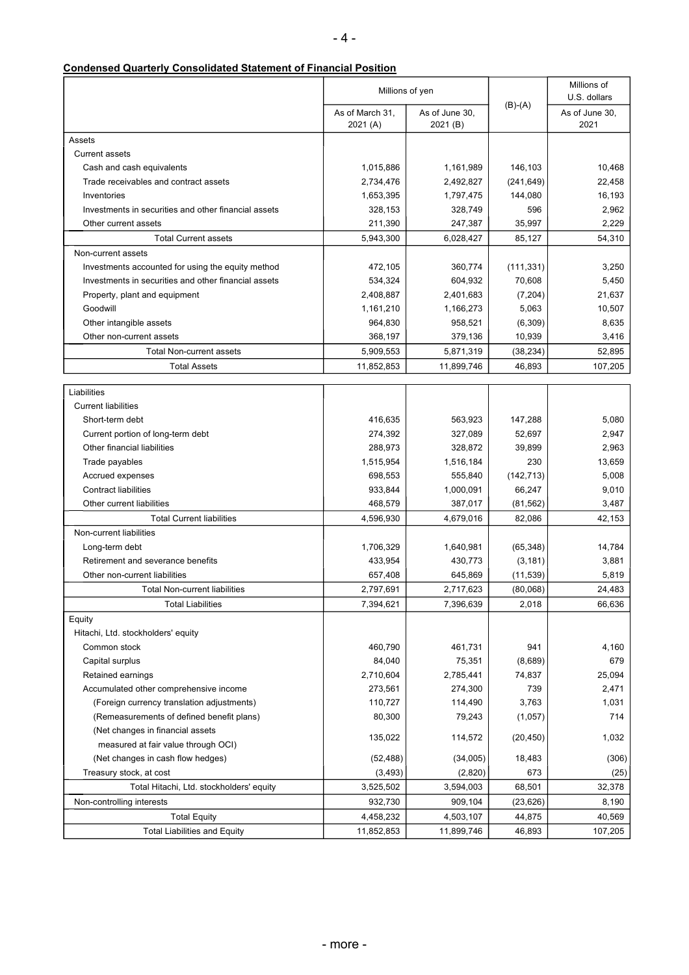| <b>Condensed Quarterly Consolidated Statement of Financial Position</b> |
|-------------------------------------------------------------------------|
|                                                                         |

|                                                      |                             | Millions of yen            |            | Millions of<br>U.S. dollars |
|------------------------------------------------------|-----------------------------|----------------------------|------------|-----------------------------|
|                                                      | As of March 31,<br>2021 (A) | As of June 30,<br>2021 (B) | $(B)-(A)$  | As of June 30,<br>2021      |
| Assets                                               |                             |                            |            |                             |
| <b>Current assets</b>                                |                             |                            |            |                             |
| Cash and cash equivalents                            | 1,015,886                   | 1,161,989                  | 146,103    | 10,468                      |
| Trade receivables and contract assets                | 2,734,476                   | 2,492,827                  | (241, 649) | 22,458                      |
| Inventories                                          | 1,653,395                   | 1,797,475                  | 144,080    | 16,193                      |
| Investments in securities and other financial assets | 328,153                     | 328,749                    | 596        | 2,962                       |
| Other current assets                                 | 211,390                     | 247,387                    | 35,997     | 2,229                       |
| <b>Total Current assets</b>                          | 5,943,300                   | 6,028,427                  | 85,127     | 54,310                      |
| Non-current assets                                   |                             |                            |            |                             |
| Investments accounted for using the equity method    | 472,105                     | 360,774                    | (111, 331) | 3,250                       |
| Investments in securities and other financial assets | 534,324                     | 604,932                    | 70,608     | 5,450                       |
| Property, plant and equipment                        | 2,408,887                   | 2,401,683                  | (7, 204)   | 21,637                      |
| Goodwill                                             | 1,161,210                   | 1,166,273                  | 5,063      | 10,507                      |
| Other intangible assets                              | 964,830                     | 958,521                    | (6,309)    | 8,635                       |
| Other non-current assets                             | 368,197                     | 379,136                    | 10,939     | 3,416                       |
| <b>Total Non-current assets</b>                      | 5,909,553                   | 5,871,319                  | (38, 234)  | 52,895                      |
| <b>Total Assets</b>                                  | 11,852,853                  | 11,899,746                 | 46,893     | 107,205                     |
|                                                      |                             |                            |            |                             |
| Liabilities                                          |                             |                            |            |                             |
| <b>Current liabilities</b>                           |                             |                            |            |                             |
| Short-term debt                                      | 416,635                     | 563,923                    | 147,288    | 5,080                       |
| Current portion of long-term debt                    | 274,392                     | 327,089                    | 52,697     | 2,947                       |
| Other financial liabilities                          | 288,973                     | 328,872                    | 39,899     | 2,963                       |
| Trade payables                                       | 1,515,954                   | 1,516,184                  | 230        | 13,659                      |
| Accrued expenses                                     | 698,553                     | 555,840                    | (142, 713) | 5,008                       |
| <b>Contract liabilities</b>                          | 933,844                     | 1,000,091                  | 66,247     | 9,010                       |
| Other current liabilities                            | 468,579                     | 387,017                    | (81, 562)  | 3,487                       |
| <b>Total Current liabilities</b>                     | 4,596,930                   | 4,679,016                  | 82,086     | 42,153                      |
| Non-current liabilities                              |                             |                            |            |                             |
| Long-term debt                                       | 1,706,329                   | 1,640,981                  | (65, 348)  | 14,784                      |
| Retirement and severance benefits                    | 433,954                     | 430,773                    | (3, 181)   | 3,881                       |
| Other non-current liabilities                        | 657,408                     | 645,869                    | (11, 539)  | 5,819                       |
| <b>Total Non-current liabilities</b>                 | 2,797,691                   | 2,717,623                  | (80,068)   | 24,483                      |
| <b>Total Liabilities</b>                             | 7,394,621                   | 7,396,639                  | 2,018      | 66,636                      |
| Equity                                               |                             |                            |            |                             |
| Hitachi, Ltd. stockholders' equity                   |                             |                            |            |                             |
| Common stock                                         | 460,790                     | 461,731                    | 941        | 4,160                       |
| Capital surplus                                      | 84,040                      | 75,351                     | (8,689)    | 679                         |
| Retained earnings                                    | 2,710,604                   | 2,785,441                  | 74,837     | 25,094                      |
| Accumulated other comprehensive income               | 273,561                     | 274,300                    | 739        | 2,471                       |
| (Foreign currency translation adjustments)           | 110,727                     | 114,490                    | 3,763      | 1,031                       |
| (Remeasurements of defined benefit plans)            | 80,300                      | 79,243                     | (1,057)    | 714                         |
| (Net changes in financial assets                     |                             |                            |            |                             |
| measured at fair value through OCI)                  | 135,022                     | 114,572                    | (20, 450)  | 1,032                       |
| (Net changes in cash flow hedges)                    | (52, 488)                   | (34,005)                   | 18,483     | (306)                       |
| Treasury stock, at cost                              | (3, 493)                    | (2,820)                    | 673        | (25)                        |
| Total Hitachi, Ltd. stockholders' equity             | 3,525,502                   | 3,594,003                  | 68,501     | 32,378                      |
| Non-controlling interests                            | 932,730                     | 909,104                    | (23, 626)  | 8,190                       |
| <b>Total Equity</b>                                  | 4,458,232                   | 4,503,107                  | 44,875     | 40,569                      |
| <b>Total Liabilities and Equity</b>                  | 11,852,853                  | 11,899,746                 | 46,893     | 107,205                     |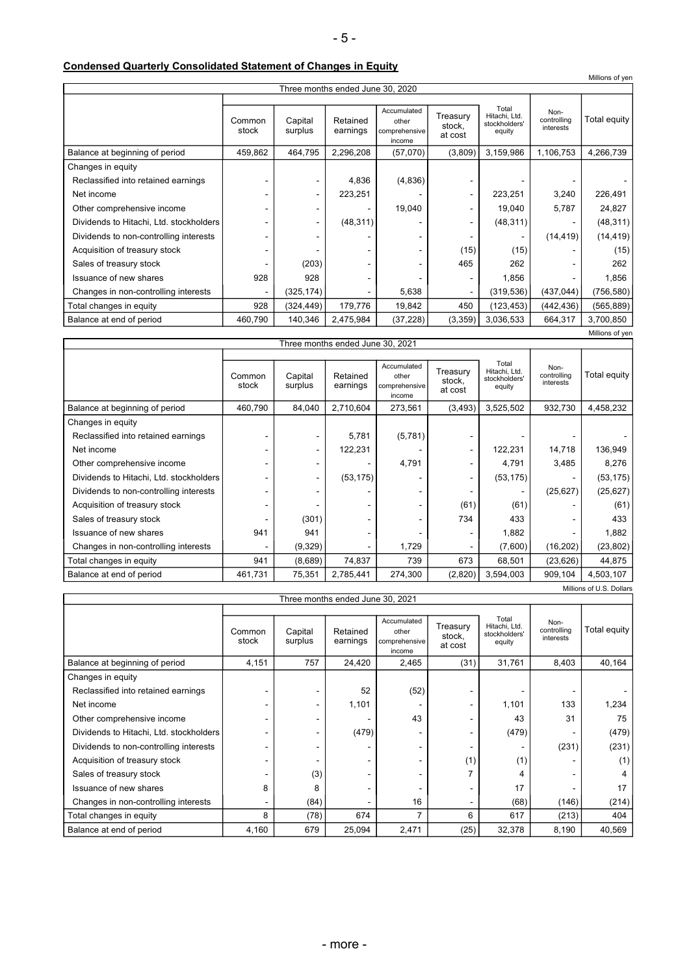## **Condensed Quarterly Consolidated Statement of Changes in Equity**

**F** 

|                                                         |                                  |                    |                      |                                                 |                               |                                                   |                                  | Millions of yen |  |
|---------------------------------------------------------|----------------------------------|--------------------|----------------------|-------------------------------------------------|-------------------------------|---------------------------------------------------|----------------------------------|-----------------|--|
|                                                         | Three months ended June 30, 2020 |                    |                      |                                                 |                               |                                                   |                                  |                 |  |
|                                                         | Common<br>stock                  | Capital<br>surplus | Retained<br>earnings | Accumulated<br>other<br>comprehensive<br>income | Treasury<br>stock,<br>at cost | Total<br>Hitachi, Ltd.<br>stockholders'<br>equity | Non-<br>controlling<br>interests | Total equity    |  |
| Balance at beginning of period                          | 459,862                          | 464,795            | 2,296,208            | (57,070)                                        | (3,809)                       | 3,159,986                                         | 1,106,753                        | 4,266,739       |  |
| Changes in equity                                       |                                  |                    |                      |                                                 |                               |                                                   |                                  |                 |  |
| Reclassified into retained earnings                     |                                  |                    | 4,836                | (4,836)                                         |                               |                                                   |                                  |                 |  |
| Net income                                              |                                  | ٠                  | 223,251              |                                                 |                               | 223,251                                           | 3,240                            | 226,491         |  |
| Other comprehensive income                              |                                  |                    |                      | 19,040                                          |                               | 19,040                                            | 5,787                            | 24,827          |  |
| Dividends to Hitachi, Ltd. stockholders                 |                                  | ٠                  | (48, 311)            |                                                 |                               | (48, 311)                                         |                                  | (48, 311)       |  |
| Dividends to non-controlling interests                  |                                  |                    |                      |                                                 |                               |                                                   | (14, 419)                        | (14, 419)       |  |
| Acquisition of treasury stock                           |                                  |                    |                      |                                                 | (15)                          | (15)                                              |                                  | (15)            |  |
| Sales of treasury stock                                 |                                  | (203)              |                      |                                                 | 465                           | 262                                               |                                  | 262             |  |
| Issuance of new shares                                  | 928                              | 928                |                      |                                                 |                               | 1,856                                             |                                  | 1,856           |  |
| Changes in non-controlling interests                    |                                  | (325, 174)         |                      | 5,638                                           |                               | (319, 536)                                        | (437, 044)                       | (756, 580)      |  |
| Total changes in equity                                 | 928                              | (324, 449)         | 179,776              | 19,842                                          | 450                           | (123, 453)                                        | (442, 436)                       | (565, 889)      |  |
| Balance at end of period                                | 460,790                          | 140,346            | 2,475,984            | (37, 228)                                       | (3,359)                       | 3,036,533                                         | 664,317                          | 3,700,850       |  |
| Millions of yen<br>There we call a conduct two conocent |                                  |                    |                      |                                                 |                               |                                                   |                                  |                 |  |

| Three months ended June 30, 2021        |                 |                    |                      |                                                 |                               |                                                   |                                  |              |
|-----------------------------------------|-----------------|--------------------|----------------------|-------------------------------------------------|-------------------------------|---------------------------------------------------|----------------------------------|--------------|
|                                         | Common<br>stock | Capital<br>surplus | Retained<br>earnings | Accumulated<br>other<br>comprehensive<br>income | Treasury<br>stock,<br>at cost | Total<br>Hitachi, Ltd.<br>stockholders'<br>equity | Non-<br>controlling<br>interests | Total equity |
| Balance at beginning of period          | 460.790         | 84,040             | 2,710,604            | 273,561                                         | (3, 493)                      | 3,525,502                                         | 932,730                          | 4,458,232    |
| Changes in equity                       |                 |                    |                      |                                                 |                               |                                                   |                                  |              |
| Reclassified into retained earnings     |                 |                    | 5,781                | (5,781)                                         |                               |                                                   |                                  |              |
| Net income                              |                 | ٠                  | 122,231              |                                                 | ٠                             | 122,231                                           | 14,718                           | 136,949      |
| Other comprehensive income              |                 |                    |                      | 4,791                                           |                               | 4,791                                             | 3,485                            | 8,276        |
| Dividends to Hitachi, Ltd. stockholders |                 | ٠                  | (53, 175)            |                                                 | ٠                             | (53, 175)                                         |                                  | (53, 175)    |
| Dividends to non-controlling interests  |                 |                    |                      |                                                 |                               | ٠                                                 | (25, 627)                        | (25, 627)    |
| Acquisition of treasury stock           |                 |                    |                      |                                                 | (61)                          | (61)                                              |                                  | (61)         |
| Sales of treasury stock                 |                 | (301)              |                      |                                                 | 734                           | 433                                               |                                  | 433          |
| Issuance of new shares                  | 941             | 941                |                      |                                                 |                               | 1,882                                             |                                  | 1,882        |
| Changes in non-controlling interests    |                 | (9,329)            |                      | 1,729                                           |                               | (7,600)                                           | (16, 202)                        | (23, 802)    |
| Total changes in equity                 | 941             | (8,689)            | 74,837               | 739                                             | 673                           | 68,501                                            | (23, 626)                        | 44,875       |
| Balance at end of period                | 461,731         | 75,351             | 2,785,441            | 274,300                                         | (2,820)                       | 3,594,003                                         | 909,104                          | 4,503,107    |
| Millions of U.S. Dollars                |                 |                    |                      |                                                 |                               |                                                   |                                  |              |

| Three months ended June 30, 2021        |                 |                    |                      |                                                 |                               |                                                   |                                  |              |
|-----------------------------------------|-----------------|--------------------|----------------------|-------------------------------------------------|-------------------------------|---------------------------------------------------|----------------------------------|--------------|
|                                         | Common<br>stock | Capital<br>surplus | Retained<br>earnings | Accumulated<br>other<br>comprehensive<br>income | Treasury<br>stock,<br>at cost | Total<br>Hitachi, Ltd.<br>stockholders'<br>equity | Non-<br>controlling<br>interests | Total equity |
| Balance at beginning of period          | 4,151           | 757                | 24,420               | 2,465                                           | (31)                          | 31,761                                            | 8,403                            | 40,164       |
| Changes in equity                       |                 |                    |                      |                                                 |                               |                                                   |                                  |              |
| Reclassified into retained earnings     |                 |                    | 52                   | (52)                                            |                               |                                                   |                                  |              |
| Net income                              |                 | ٠                  | 1,101                |                                                 | ٠                             | 1,101                                             | 133                              | 1,234        |
| Other comprehensive income              |                 | -                  |                      | 43                                              | ٠                             | 43                                                | 31                               | 75           |
| Dividends to Hitachi, Ltd. stockholders |                 |                    | (479)                |                                                 |                               | (479)                                             |                                  | (479)        |
| Dividends to non-controlling interests  |                 | -                  |                      |                                                 |                               |                                                   | (231)                            | (231)        |
| Acquisition of treasury stock           |                 |                    |                      |                                                 | (1)                           | (1)                                               |                                  | (1)          |
| Sales of treasury stock                 |                 | (3)                |                      |                                                 |                               | 4                                                 |                                  | 4            |
| Issuance of new shares                  | 8               | 8                  |                      |                                                 |                               | 17                                                |                                  | 17           |
| Changes in non-controlling interests    |                 | (84)               |                      | 16                                              | ۰                             | (68)                                              | (146)                            | (214)        |
| Total changes in equity                 | 8               | (78)               | 674                  | 7                                               | 6                             | 617                                               | (213)                            | 404          |
| Balance at end of period                | 4,160           | 679                | 25,094               | 2,471                                           | (25)                          | 32,378                                            | 8,190                            | 40,569       |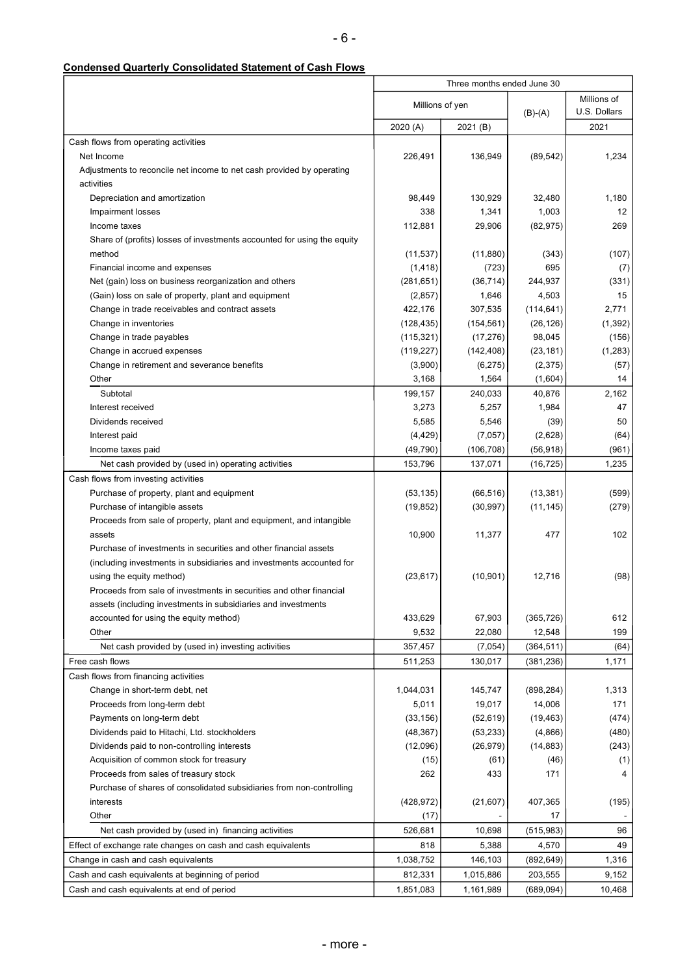# **Condensed Quarterly Consolidated Statement of Cash Flows**

| Millions of<br>Millions of yen<br>U.S. Dollars<br>$(B)-(A)$<br>2021<br>2020 (A)<br>2021 (B)<br>Cash flows from operating activities<br>1,234<br>Net Income<br>226,491<br>136,949<br>(89, 542)<br>Adjustments to reconcile net income to net cash provided by operating<br>activities<br>Depreciation and amortization<br>98,449<br>130,929<br>1,180<br>32,480<br>338<br>1,341<br>1,003<br>12<br>Impairment losses<br>Income taxes<br>112,881<br>29,906<br>(82, 975)<br>269<br>Share of (profits) losses of investments accounted for using the equity<br>(11, 537)<br>(11, 880)<br>(343)<br>(107)<br>method<br>Financial income and expenses<br>(1, 418)<br>(723)<br>695<br>(7)<br>(281, 651)<br>(36, 714)<br>244,937<br>(331)<br>Net (gain) loss on business reorganization and others<br>(Gain) loss on sale of property, plant and equipment<br>(2,857)<br>1,646<br>4,503<br>15<br>Change in trade receivables and contract assets<br>422,176<br>307,535<br>(114, 641)<br>2,771<br>(128, 435)<br>(154, 561)<br>(26, 126)<br>(1, 392)<br>Change in inventories<br>(115, 321)<br>(17, 276)<br>98,045<br>(156)<br>Change in trade payables<br>(119, 227)<br>(142, 408)<br>(1, 283)<br>Change in accrued expenses<br>(23, 181)<br>Change in retirement and severance benefits<br>(3,900)<br>(6, 275)<br>(2, 375)<br>(57)<br>Other<br>3,168<br>1,564<br>(1,604)<br>14<br>Subtotal<br>199,157<br>40,876<br>2,162<br>240,033<br>47<br>Interest received<br>3,273<br>5,257<br>1,984<br>5,585<br>5,546<br>(39)<br>50<br>Dividends received<br>(2,628)<br>(4, 429)<br>(7,057)<br>(64)<br>Interest paid<br>(49, 790)<br>(106, 708)<br>(56, 918)<br>Income taxes paid<br>(961)<br>Net cash provided by (used in) operating activities<br>153,796<br>137,071<br>(16, 725)<br>1,235<br>Cash flows from investing activities<br>(53, 135)<br>(66, 516)<br>(13, 381)<br>(599)<br>Purchase of property, plant and equipment<br>(30, 997)<br>(11, 145)<br>(279)<br>Purchase of intangible assets<br>(19, 852)<br>Proceeds from sale of property, plant and equipment, and intangible<br>10,900<br>477<br>102<br>assets<br>11,377<br>Purchase of investments in securities and other financial assets<br>(including investments in subsidiaries and investments accounted for<br>(23, 617)<br>(10, 901)<br>(98)<br>using the equity method)<br>12,716<br>Proceeds from sale of investments in securities and other financial<br>assets (including investments in subsidiaries and investments<br>612<br>accounted for using the equity method)<br>433,629<br>67,903<br>(365, 726)<br>9,532<br>12,548<br>199<br>Other<br>22,080<br>Net cash provided by (used in) investing activities<br>357,457<br>(7,054)<br>(364, 511)<br>(64)<br>Free cash flows<br>511,253<br>130,017<br>(381, 236)<br>1,171<br>Cash flows from financing activities<br>1,044,031<br>145,747<br>(898, 284)<br>1,313<br>Change in short-term debt, net<br>Proceeds from long-term debt<br>5,011<br>19,017<br>14,006<br>171<br>Payments on long-term debt<br>(33, 156)<br>(52, 619)<br>(474)<br>(19, 463)<br>(48, 367)<br>(4,866)<br>(480)<br>Dividends paid to Hitachi, Ltd. stockholders<br>(53, 233)<br>(12,096)<br>(26, 979)<br>(14, 883)<br>(243)<br>Dividends paid to non-controlling interests<br>Acquisition of common stock for treasury<br>(15)<br>(61)<br>(46)<br>(1)<br>Proceeds from sales of treasury stock<br>262<br>433<br>171<br>4<br>Purchase of shares of consolidated subsidiaries from non-controlling<br>(428, 972)<br>(195)<br>interests<br>(21, 607)<br>407,365<br>Other<br>(17)<br>17<br>Net cash provided by (used in) financing activities<br>526,681<br>10,698<br>(515, 983)<br>96<br>818<br>5,388<br>4,570<br>49<br>Effect of exchange rate changes on cash and cash equivalents<br>1,038,752<br>1,316<br>Change in cash and cash equivalents<br>146,103<br>(892, 649)<br>812,331<br>1,015,886<br>203,555<br>9,152<br>Cash and cash equivalents at beginning of period<br>1,851,083<br>1,161,989<br>(689, 094)<br>10,468<br>Cash and cash equivalents at end of period | Three months ended June 30 |  |  |  |
|--------------------------------------------------------------------------------------------------------------------------------------------------------------------------------------------------------------------------------------------------------------------------------------------------------------------------------------------------------------------------------------------------------------------------------------------------------------------------------------------------------------------------------------------------------------------------------------------------------------------------------------------------------------------------------------------------------------------------------------------------------------------------------------------------------------------------------------------------------------------------------------------------------------------------------------------------------------------------------------------------------------------------------------------------------------------------------------------------------------------------------------------------------------------------------------------------------------------------------------------------------------------------------------------------------------------------------------------------------------------------------------------------------------------------------------------------------------------------------------------------------------------------------------------------------------------------------------------------------------------------------------------------------------------------------------------------------------------------------------------------------------------------------------------------------------------------------------------------------------------------------------------------------------------------------------------------------------------------------------------------------------------------------------------------------------------------------------------------------------------------------------------------------------------------------------------------------------------------------------------------------------------------------------------------------------------------------------------------------------------------------------------------------------------------------------------------------------------------------------------------------------------------------------------------------------------------------------------------------------------------------------------------------------------------------------------------------------------------------------------------------------------------------------------------------------------------------------------------------------------------------------------------------------------------------------------------------------------------------------------------------------------------------------------------------------------------------------------------------------------------------------------------------------------------------------------------------------------------------------------------------------------------------------------------------------------------------------------------------------------------------------------------------------------------------------------------------------------------------------------------------------------------------------------------------------------------------------------------------------------------------------------------------------------------------------------------------------------------------------------------------------------------------------------------------------------------------------------------------------------------------------------------------------------------------------------------------------------------------------------------------------------------------------------------------|----------------------------|--|--|--|
|                                                                                                                                                                                                                                                                                                                                                                                                                                                                                                                                                                                                                                                                                                                                                                                                                                                                                                                                                                                                                                                                                                                                                                                                                                                                                                                                                                                                                                                                                                                                                                                                                                                                                                                                                                                                                                                                                                                                                                                                                                                                                                                                                                                                                                                                                                                                                                                                                                                                                                                                                                                                                                                                                                                                                                                                                                                                                                                                                                                                                                                                                                                                                                                                                                                                                                                                                                                                                                                                                                                                                                                                                                                                                                                                                                                                                                                                                                                                                                                                                                                        |                            |  |  |  |
|                                                                                                                                                                                                                                                                                                                                                                                                                                                                                                                                                                                                                                                                                                                                                                                                                                                                                                                                                                                                                                                                                                                                                                                                                                                                                                                                                                                                                                                                                                                                                                                                                                                                                                                                                                                                                                                                                                                                                                                                                                                                                                                                                                                                                                                                                                                                                                                                                                                                                                                                                                                                                                                                                                                                                                                                                                                                                                                                                                                                                                                                                                                                                                                                                                                                                                                                                                                                                                                                                                                                                                                                                                                                                                                                                                                                                                                                                                                                                                                                                                                        |                            |  |  |  |
|                                                                                                                                                                                                                                                                                                                                                                                                                                                                                                                                                                                                                                                                                                                                                                                                                                                                                                                                                                                                                                                                                                                                                                                                                                                                                                                                                                                                                                                                                                                                                                                                                                                                                                                                                                                                                                                                                                                                                                                                                                                                                                                                                                                                                                                                                                                                                                                                                                                                                                                                                                                                                                                                                                                                                                                                                                                                                                                                                                                                                                                                                                                                                                                                                                                                                                                                                                                                                                                                                                                                                                                                                                                                                                                                                                                                                                                                                                                                                                                                                                                        |                            |  |  |  |
|                                                                                                                                                                                                                                                                                                                                                                                                                                                                                                                                                                                                                                                                                                                                                                                                                                                                                                                                                                                                                                                                                                                                                                                                                                                                                                                                                                                                                                                                                                                                                                                                                                                                                                                                                                                                                                                                                                                                                                                                                                                                                                                                                                                                                                                                                                                                                                                                                                                                                                                                                                                                                                                                                                                                                                                                                                                                                                                                                                                                                                                                                                                                                                                                                                                                                                                                                                                                                                                                                                                                                                                                                                                                                                                                                                                                                                                                                                                                                                                                                                                        |                            |  |  |  |
|                                                                                                                                                                                                                                                                                                                                                                                                                                                                                                                                                                                                                                                                                                                                                                                                                                                                                                                                                                                                                                                                                                                                                                                                                                                                                                                                                                                                                                                                                                                                                                                                                                                                                                                                                                                                                                                                                                                                                                                                                                                                                                                                                                                                                                                                                                                                                                                                                                                                                                                                                                                                                                                                                                                                                                                                                                                                                                                                                                                                                                                                                                                                                                                                                                                                                                                                                                                                                                                                                                                                                                                                                                                                                                                                                                                                                                                                                                                                                                                                                                                        |                            |  |  |  |
|                                                                                                                                                                                                                                                                                                                                                                                                                                                                                                                                                                                                                                                                                                                                                                                                                                                                                                                                                                                                                                                                                                                                                                                                                                                                                                                                                                                                                                                                                                                                                                                                                                                                                                                                                                                                                                                                                                                                                                                                                                                                                                                                                                                                                                                                                                                                                                                                                                                                                                                                                                                                                                                                                                                                                                                                                                                                                                                                                                                                                                                                                                                                                                                                                                                                                                                                                                                                                                                                                                                                                                                                                                                                                                                                                                                                                                                                                                                                                                                                                                                        |                            |  |  |  |
|                                                                                                                                                                                                                                                                                                                                                                                                                                                                                                                                                                                                                                                                                                                                                                                                                                                                                                                                                                                                                                                                                                                                                                                                                                                                                                                                                                                                                                                                                                                                                                                                                                                                                                                                                                                                                                                                                                                                                                                                                                                                                                                                                                                                                                                                                                                                                                                                                                                                                                                                                                                                                                                                                                                                                                                                                                                                                                                                                                                                                                                                                                                                                                                                                                                                                                                                                                                                                                                                                                                                                                                                                                                                                                                                                                                                                                                                                                                                                                                                                                                        |                            |  |  |  |
|                                                                                                                                                                                                                                                                                                                                                                                                                                                                                                                                                                                                                                                                                                                                                                                                                                                                                                                                                                                                                                                                                                                                                                                                                                                                                                                                                                                                                                                                                                                                                                                                                                                                                                                                                                                                                                                                                                                                                                                                                                                                                                                                                                                                                                                                                                                                                                                                                                                                                                                                                                                                                                                                                                                                                                                                                                                                                                                                                                                                                                                                                                                                                                                                                                                                                                                                                                                                                                                                                                                                                                                                                                                                                                                                                                                                                                                                                                                                                                                                                                                        |                            |  |  |  |
|                                                                                                                                                                                                                                                                                                                                                                                                                                                                                                                                                                                                                                                                                                                                                                                                                                                                                                                                                                                                                                                                                                                                                                                                                                                                                                                                                                                                                                                                                                                                                                                                                                                                                                                                                                                                                                                                                                                                                                                                                                                                                                                                                                                                                                                                                                                                                                                                                                                                                                                                                                                                                                                                                                                                                                                                                                                                                                                                                                                                                                                                                                                                                                                                                                                                                                                                                                                                                                                                                                                                                                                                                                                                                                                                                                                                                                                                                                                                                                                                                                                        |                            |  |  |  |
|                                                                                                                                                                                                                                                                                                                                                                                                                                                                                                                                                                                                                                                                                                                                                                                                                                                                                                                                                                                                                                                                                                                                                                                                                                                                                                                                                                                                                                                                                                                                                                                                                                                                                                                                                                                                                                                                                                                                                                                                                                                                                                                                                                                                                                                                                                                                                                                                                                                                                                                                                                                                                                                                                                                                                                                                                                                                                                                                                                                                                                                                                                                                                                                                                                                                                                                                                                                                                                                                                                                                                                                                                                                                                                                                                                                                                                                                                                                                                                                                                                                        |                            |  |  |  |
|                                                                                                                                                                                                                                                                                                                                                                                                                                                                                                                                                                                                                                                                                                                                                                                                                                                                                                                                                                                                                                                                                                                                                                                                                                                                                                                                                                                                                                                                                                                                                                                                                                                                                                                                                                                                                                                                                                                                                                                                                                                                                                                                                                                                                                                                                                                                                                                                                                                                                                                                                                                                                                                                                                                                                                                                                                                                                                                                                                                                                                                                                                                                                                                                                                                                                                                                                                                                                                                                                                                                                                                                                                                                                                                                                                                                                                                                                                                                                                                                                                                        |                            |  |  |  |
|                                                                                                                                                                                                                                                                                                                                                                                                                                                                                                                                                                                                                                                                                                                                                                                                                                                                                                                                                                                                                                                                                                                                                                                                                                                                                                                                                                                                                                                                                                                                                                                                                                                                                                                                                                                                                                                                                                                                                                                                                                                                                                                                                                                                                                                                                                                                                                                                                                                                                                                                                                                                                                                                                                                                                                                                                                                                                                                                                                                                                                                                                                                                                                                                                                                                                                                                                                                                                                                                                                                                                                                                                                                                                                                                                                                                                                                                                                                                                                                                                                                        |                            |  |  |  |
|                                                                                                                                                                                                                                                                                                                                                                                                                                                                                                                                                                                                                                                                                                                                                                                                                                                                                                                                                                                                                                                                                                                                                                                                                                                                                                                                                                                                                                                                                                                                                                                                                                                                                                                                                                                                                                                                                                                                                                                                                                                                                                                                                                                                                                                                                                                                                                                                                                                                                                                                                                                                                                                                                                                                                                                                                                                                                                                                                                                                                                                                                                                                                                                                                                                                                                                                                                                                                                                                                                                                                                                                                                                                                                                                                                                                                                                                                                                                                                                                                                                        |                            |  |  |  |
|                                                                                                                                                                                                                                                                                                                                                                                                                                                                                                                                                                                                                                                                                                                                                                                                                                                                                                                                                                                                                                                                                                                                                                                                                                                                                                                                                                                                                                                                                                                                                                                                                                                                                                                                                                                                                                                                                                                                                                                                                                                                                                                                                                                                                                                                                                                                                                                                                                                                                                                                                                                                                                                                                                                                                                                                                                                                                                                                                                                                                                                                                                                                                                                                                                                                                                                                                                                                                                                                                                                                                                                                                                                                                                                                                                                                                                                                                                                                                                                                                                                        |                            |  |  |  |
|                                                                                                                                                                                                                                                                                                                                                                                                                                                                                                                                                                                                                                                                                                                                                                                                                                                                                                                                                                                                                                                                                                                                                                                                                                                                                                                                                                                                                                                                                                                                                                                                                                                                                                                                                                                                                                                                                                                                                                                                                                                                                                                                                                                                                                                                                                                                                                                                                                                                                                                                                                                                                                                                                                                                                                                                                                                                                                                                                                                                                                                                                                                                                                                                                                                                                                                                                                                                                                                                                                                                                                                                                                                                                                                                                                                                                                                                                                                                                                                                                                                        |                            |  |  |  |
|                                                                                                                                                                                                                                                                                                                                                                                                                                                                                                                                                                                                                                                                                                                                                                                                                                                                                                                                                                                                                                                                                                                                                                                                                                                                                                                                                                                                                                                                                                                                                                                                                                                                                                                                                                                                                                                                                                                                                                                                                                                                                                                                                                                                                                                                                                                                                                                                                                                                                                                                                                                                                                                                                                                                                                                                                                                                                                                                                                                                                                                                                                                                                                                                                                                                                                                                                                                                                                                                                                                                                                                                                                                                                                                                                                                                                                                                                                                                                                                                                                                        |                            |  |  |  |
|                                                                                                                                                                                                                                                                                                                                                                                                                                                                                                                                                                                                                                                                                                                                                                                                                                                                                                                                                                                                                                                                                                                                                                                                                                                                                                                                                                                                                                                                                                                                                                                                                                                                                                                                                                                                                                                                                                                                                                                                                                                                                                                                                                                                                                                                                                                                                                                                                                                                                                                                                                                                                                                                                                                                                                                                                                                                                                                                                                                                                                                                                                                                                                                                                                                                                                                                                                                                                                                                                                                                                                                                                                                                                                                                                                                                                                                                                                                                                                                                                                                        |                            |  |  |  |
|                                                                                                                                                                                                                                                                                                                                                                                                                                                                                                                                                                                                                                                                                                                                                                                                                                                                                                                                                                                                                                                                                                                                                                                                                                                                                                                                                                                                                                                                                                                                                                                                                                                                                                                                                                                                                                                                                                                                                                                                                                                                                                                                                                                                                                                                                                                                                                                                                                                                                                                                                                                                                                                                                                                                                                                                                                                                                                                                                                                                                                                                                                                                                                                                                                                                                                                                                                                                                                                                                                                                                                                                                                                                                                                                                                                                                                                                                                                                                                                                                                                        |                            |  |  |  |
|                                                                                                                                                                                                                                                                                                                                                                                                                                                                                                                                                                                                                                                                                                                                                                                                                                                                                                                                                                                                                                                                                                                                                                                                                                                                                                                                                                                                                                                                                                                                                                                                                                                                                                                                                                                                                                                                                                                                                                                                                                                                                                                                                                                                                                                                                                                                                                                                                                                                                                                                                                                                                                                                                                                                                                                                                                                                                                                                                                                                                                                                                                                                                                                                                                                                                                                                                                                                                                                                                                                                                                                                                                                                                                                                                                                                                                                                                                                                                                                                                                                        |                            |  |  |  |
|                                                                                                                                                                                                                                                                                                                                                                                                                                                                                                                                                                                                                                                                                                                                                                                                                                                                                                                                                                                                                                                                                                                                                                                                                                                                                                                                                                                                                                                                                                                                                                                                                                                                                                                                                                                                                                                                                                                                                                                                                                                                                                                                                                                                                                                                                                                                                                                                                                                                                                                                                                                                                                                                                                                                                                                                                                                                                                                                                                                                                                                                                                                                                                                                                                                                                                                                                                                                                                                                                                                                                                                                                                                                                                                                                                                                                                                                                                                                                                                                                                                        |                            |  |  |  |
|                                                                                                                                                                                                                                                                                                                                                                                                                                                                                                                                                                                                                                                                                                                                                                                                                                                                                                                                                                                                                                                                                                                                                                                                                                                                                                                                                                                                                                                                                                                                                                                                                                                                                                                                                                                                                                                                                                                                                                                                                                                                                                                                                                                                                                                                                                                                                                                                                                                                                                                                                                                                                                                                                                                                                                                                                                                                                                                                                                                                                                                                                                                                                                                                                                                                                                                                                                                                                                                                                                                                                                                                                                                                                                                                                                                                                                                                                                                                                                                                                                                        |                            |  |  |  |
|                                                                                                                                                                                                                                                                                                                                                                                                                                                                                                                                                                                                                                                                                                                                                                                                                                                                                                                                                                                                                                                                                                                                                                                                                                                                                                                                                                                                                                                                                                                                                                                                                                                                                                                                                                                                                                                                                                                                                                                                                                                                                                                                                                                                                                                                                                                                                                                                                                                                                                                                                                                                                                                                                                                                                                                                                                                                                                                                                                                                                                                                                                                                                                                                                                                                                                                                                                                                                                                                                                                                                                                                                                                                                                                                                                                                                                                                                                                                                                                                                                                        |                            |  |  |  |
|                                                                                                                                                                                                                                                                                                                                                                                                                                                                                                                                                                                                                                                                                                                                                                                                                                                                                                                                                                                                                                                                                                                                                                                                                                                                                                                                                                                                                                                                                                                                                                                                                                                                                                                                                                                                                                                                                                                                                                                                                                                                                                                                                                                                                                                                                                                                                                                                                                                                                                                                                                                                                                                                                                                                                                                                                                                                                                                                                                                                                                                                                                                                                                                                                                                                                                                                                                                                                                                                                                                                                                                                                                                                                                                                                                                                                                                                                                                                                                                                                                                        |                            |  |  |  |
|                                                                                                                                                                                                                                                                                                                                                                                                                                                                                                                                                                                                                                                                                                                                                                                                                                                                                                                                                                                                                                                                                                                                                                                                                                                                                                                                                                                                                                                                                                                                                                                                                                                                                                                                                                                                                                                                                                                                                                                                                                                                                                                                                                                                                                                                                                                                                                                                                                                                                                                                                                                                                                                                                                                                                                                                                                                                                                                                                                                                                                                                                                                                                                                                                                                                                                                                                                                                                                                                                                                                                                                                                                                                                                                                                                                                                                                                                                                                                                                                                                                        |                            |  |  |  |
|                                                                                                                                                                                                                                                                                                                                                                                                                                                                                                                                                                                                                                                                                                                                                                                                                                                                                                                                                                                                                                                                                                                                                                                                                                                                                                                                                                                                                                                                                                                                                                                                                                                                                                                                                                                                                                                                                                                                                                                                                                                                                                                                                                                                                                                                                                                                                                                                                                                                                                                                                                                                                                                                                                                                                                                                                                                                                                                                                                                                                                                                                                                                                                                                                                                                                                                                                                                                                                                                                                                                                                                                                                                                                                                                                                                                                                                                                                                                                                                                                                                        |                            |  |  |  |
|                                                                                                                                                                                                                                                                                                                                                                                                                                                                                                                                                                                                                                                                                                                                                                                                                                                                                                                                                                                                                                                                                                                                                                                                                                                                                                                                                                                                                                                                                                                                                                                                                                                                                                                                                                                                                                                                                                                                                                                                                                                                                                                                                                                                                                                                                                                                                                                                                                                                                                                                                                                                                                                                                                                                                                                                                                                                                                                                                                                                                                                                                                                                                                                                                                                                                                                                                                                                                                                                                                                                                                                                                                                                                                                                                                                                                                                                                                                                                                                                                                                        |                            |  |  |  |
|                                                                                                                                                                                                                                                                                                                                                                                                                                                                                                                                                                                                                                                                                                                                                                                                                                                                                                                                                                                                                                                                                                                                                                                                                                                                                                                                                                                                                                                                                                                                                                                                                                                                                                                                                                                                                                                                                                                                                                                                                                                                                                                                                                                                                                                                                                                                                                                                                                                                                                                                                                                                                                                                                                                                                                                                                                                                                                                                                                                                                                                                                                                                                                                                                                                                                                                                                                                                                                                                                                                                                                                                                                                                                                                                                                                                                                                                                                                                                                                                                                                        |                            |  |  |  |
|                                                                                                                                                                                                                                                                                                                                                                                                                                                                                                                                                                                                                                                                                                                                                                                                                                                                                                                                                                                                                                                                                                                                                                                                                                                                                                                                                                                                                                                                                                                                                                                                                                                                                                                                                                                                                                                                                                                                                                                                                                                                                                                                                                                                                                                                                                                                                                                                                                                                                                                                                                                                                                                                                                                                                                                                                                                                                                                                                                                                                                                                                                                                                                                                                                                                                                                                                                                                                                                                                                                                                                                                                                                                                                                                                                                                                                                                                                                                                                                                                                                        |                            |  |  |  |
|                                                                                                                                                                                                                                                                                                                                                                                                                                                                                                                                                                                                                                                                                                                                                                                                                                                                                                                                                                                                                                                                                                                                                                                                                                                                                                                                                                                                                                                                                                                                                                                                                                                                                                                                                                                                                                                                                                                                                                                                                                                                                                                                                                                                                                                                                                                                                                                                                                                                                                                                                                                                                                                                                                                                                                                                                                                                                                                                                                                                                                                                                                                                                                                                                                                                                                                                                                                                                                                                                                                                                                                                                                                                                                                                                                                                                                                                                                                                                                                                                                                        |                            |  |  |  |
|                                                                                                                                                                                                                                                                                                                                                                                                                                                                                                                                                                                                                                                                                                                                                                                                                                                                                                                                                                                                                                                                                                                                                                                                                                                                                                                                                                                                                                                                                                                                                                                                                                                                                                                                                                                                                                                                                                                                                                                                                                                                                                                                                                                                                                                                                                                                                                                                                                                                                                                                                                                                                                                                                                                                                                                                                                                                                                                                                                                                                                                                                                                                                                                                                                                                                                                                                                                                                                                                                                                                                                                                                                                                                                                                                                                                                                                                                                                                                                                                                                                        |                            |  |  |  |
|                                                                                                                                                                                                                                                                                                                                                                                                                                                                                                                                                                                                                                                                                                                                                                                                                                                                                                                                                                                                                                                                                                                                                                                                                                                                                                                                                                                                                                                                                                                                                                                                                                                                                                                                                                                                                                                                                                                                                                                                                                                                                                                                                                                                                                                                                                                                                                                                                                                                                                                                                                                                                                                                                                                                                                                                                                                                                                                                                                                                                                                                                                                                                                                                                                                                                                                                                                                                                                                                                                                                                                                                                                                                                                                                                                                                                                                                                                                                                                                                                                                        |                            |  |  |  |
|                                                                                                                                                                                                                                                                                                                                                                                                                                                                                                                                                                                                                                                                                                                                                                                                                                                                                                                                                                                                                                                                                                                                                                                                                                                                                                                                                                                                                                                                                                                                                                                                                                                                                                                                                                                                                                                                                                                                                                                                                                                                                                                                                                                                                                                                                                                                                                                                                                                                                                                                                                                                                                                                                                                                                                                                                                                                                                                                                                                                                                                                                                                                                                                                                                                                                                                                                                                                                                                                                                                                                                                                                                                                                                                                                                                                                                                                                                                                                                                                                                                        |                            |  |  |  |
|                                                                                                                                                                                                                                                                                                                                                                                                                                                                                                                                                                                                                                                                                                                                                                                                                                                                                                                                                                                                                                                                                                                                                                                                                                                                                                                                                                                                                                                                                                                                                                                                                                                                                                                                                                                                                                                                                                                                                                                                                                                                                                                                                                                                                                                                                                                                                                                                                                                                                                                                                                                                                                                                                                                                                                                                                                                                                                                                                                                                                                                                                                                                                                                                                                                                                                                                                                                                                                                                                                                                                                                                                                                                                                                                                                                                                                                                                                                                                                                                                                                        |                            |  |  |  |
|                                                                                                                                                                                                                                                                                                                                                                                                                                                                                                                                                                                                                                                                                                                                                                                                                                                                                                                                                                                                                                                                                                                                                                                                                                                                                                                                                                                                                                                                                                                                                                                                                                                                                                                                                                                                                                                                                                                                                                                                                                                                                                                                                                                                                                                                                                                                                                                                                                                                                                                                                                                                                                                                                                                                                                                                                                                                                                                                                                                                                                                                                                                                                                                                                                                                                                                                                                                                                                                                                                                                                                                                                                                                                                                                                                                                                                                                                                                                                                                                                                                        |                            |  |  |  |
|                                                                                                                                                                                                                                                                                                                                                                                                                                                                                                                                                                                                                                                                                                                                                                                                                                                                                                                                                                                                                                                                                                                                                                                                                                                                                                                                                                                                                                                                                                                                                                                                                                                                                                                                                                                                                                                                                                                                                                                                                                                                                                                                                                                                                                                                                                                                                                                                                                                                                                                                                                                                                                                                                                                                                                                                                                                                                                                                                                                                                                                                                                                                                                                                                                                                                                                                                                                                                                                                                                                                                                                                                                                                                                                                                                                                                                                                                                                                                                                                                                                        |                            |  |  |  |
|                                                                                                                                                                                                                                                                                                                                                                                                                                                                                                                                                                                                                                                                                                                                                                                                                                                                                                                                                                                                                                                                                                                                                                                                                                                                                                                                                                                                                                                                                                                                                                                                                                                                                                                                                                                                                                                                                                                                                                                                                                                                                                                                                                                                                                                                                                                                                                                                                                                                                                                                                                                                                                                                                                                                                                                                                                                                                                                                                                                                                                                                                                                                                                                                                                                                                                                                                                                                                                                                                                                                                                                                                                                                                                                                                                                                                                                                                                                                                                                                                                                        |                            |  |  |  |
|                                                                                                                                                                                                                                                                                                                                                                                                                                                                                                                                                                                                                                                                                                                                                                                                                                                                                                                                                                                                                                                                                                                                                                                                                                                                                                                                                                                                                                                                                                                                                                                                                                                                                                                                                                                                                                                                                                                                                                                                                                                                                                                                                                                                                                                                                                                                                                                                                                                                                                                                                                                                                                                                                                                                                                                                                                                                                                                                                                                                                                                                                                                                                                                                                                                                                                                                                                                                                                                                                                                                                                                                                                                                                                                                                                                                                                                                                                                                                                                                                                                        |                            |  |  |  |
|                                                                                                                                                                                                                                                                                                                                                                                                                                                                                                                                                                                                                                                                                                                                                                                                                                                                                                                                                                                                                                                                                                                                                                                                                                                                                                                                                                                                                                                                                                                                                                                                                                                                                                                                                                                                                                                                                                                                                                                                                                                                                                                                                                                                                                                                                                                                                                                                                                                                                                                                                                                                                                                                                                                                                                                                                                                                                                                                                                                                                                                                                                                                                                                                                                                                                                                                                                                                                                                                                                                                                                                                                                                                                                                                                                                                                                                                                                                                                                                                                                                        |                            |  |  |  |
|                                                                                                                                                                                                                                                                                                                                                                                                                                                                                                                                                                                                                                                                                                                                                                                                                                                                                                                                                                                                                                                                                                                                                                                                                                                                                                                                                                                                                                                                                                                                                                                                                                                                                                                                                                                                                                                                                                                                                                                                                                                                                                                                                                                                                                                                                                                                                                                                                                                                                                                                                                                                                                                                                                                                                                                                                                                                                                                                                                                                                                                                                                                                                                                                                                                                                                                                                                                                                                                                                                                                                                                                                                                                                                                                                                                                                                                                                                                                                                                                                                                        |                            |  |  |  |
|                                                                                                                                                                                                                                                                                                                                                                                                                                                                                                                                                                                                                                                                                                                                                                                                                                                                                                                                                                                                                                                                                                                                                                                                                                                                                                                                                                                                                                                                                                                                                                                                                                                                                                                                                                                                                                                                                                                                                                                                                                                                                                                                                                                                                                                                                                                                                                                                                                                                                                                                                                                                                                                                                                                                                                                                                                                                                                                                                                                                                                                                                                                                                                                                                                                                                                                                                                                                                                                                                                                                                                                                                                                                                                                                                                                                                                                                                                                                                                                                                                                        |                            |  |  |  |
|                                                                                                                                                                                                                                                                                                                                                                                                                                                                                                                                                                                                                                                                                                                                                                                                                                                                                                                                                                                                                                                                                                                                                                                                                                                                                                                                                                                                                                                                                                                                                                                                                                                                                                                                                                                                                                                                                                                                                                                                                                                                                                                                                                                                                                                                                                                                                                                                                                                                                                                                                                                                                                                                                                                                                                                                                                                                                                                                                                                                                                                                                                                                                                                                                                                                                                                                                                                                                                                                                                                                                                                                                                                                                                                                                                                                                                                                                                                                                                                                                                                        |                            |  |  |  |
|                                                                                                                                                                                                                                                                                                                                                                                                                                                                                                                                                                                                                                                                                                                                                                                                                                                                                                                                                                                                                                                                                                                                                                                                                                                                                                                                                                                                                                                                                                                                                                                                                                                                                                                                                                                                                                                                                                                                                                                                                                                                                                                                                                                                                                                                                                                                                                                                                                                                                                                                                                                                                                                                                                                                                                                                                                                                                                                                                                                                                                                                                                                                                                                                                                                                                                                                                                                                                                                                                                                                                                                                                                                                                                                                                                                                                                                                                                                                                                                                                                                        |                            |  |  |  |
|                                                                                                                                                                                                                                                                                                                                                                                                                                                                                                                                                                                                                                                                                                                                                                                                                                                                                                                                                                                                                                                                                                                                                                                                                                                                                                                                                                                                                                                                                                                                                                                                                                                                                                                                                                                                                                                                                                                                                                                                                                                                                                                                                                                                                                                                                                                                                                                                                                                                                                                                                                                                                                                                                                                                                                                                                                                                                                                                                                                                                                                                                                                                                                                                                                                                                                                                                                                                                                                                                                                                                                                                                                                                                                                                                                                                                                                                                                                                                                                                                                                        |                            |  |  |  |
|                                                                                                                                                                                                                                                                                                                                                                                                                                                                                                                                                                                                                                                                                                                                                                                                                                                                                                                                                                                                                                                                                                                                                                                                                                                                                                                                                                                                                                                                                                                                                                                                                                                                                                                                                                                                                                                                                                                                                                                                                                                                                                                                                                                                                                                                                                                                                                                                                                                                                                                                                                                                                                                                                                                                                                                                                                                                                                                                                                                                                                                                                                                                                                                                                                                                                                                                                                                                                                                                                                                                                                                                                                                                                                                                                                                                                                                                                                                                                                                                                                                        |                            |  |  |  |
|                                                                                                                                                                                                                                                                                                                                                                                                                                                                                                                                                                                                                                                                                                                                                                                                                                                                                                                                                                                                                                                                                                                                                                                                                                                                                                                                                                                                                                                                                                                                                                                                                                                                                                                                                                                                                                                                                                                                                                                                                                                                                                                                                                                                                                                                                                                                                                                                                                                                                                                                                                                                                                                                                                                                                                                                                                                                                                                                                                                                                                                                                                                                                                                                                                                                                                                                                                                                                                                                                                                                                                                                                                                                                                                                                                                                                                                                                                                                                                                                                                                        |                            |  |  |  |
|                                                                                                                                                                                                                                                                                                                                                                                                                                                                                                                                                                                                                                                                                                                                                                                                                                                                                                                                                                                                                                                                                                                                                                                                                                                                                                                                                                                                                                                                                                                                                                                                                                                                                                                                                                                                                                                                                                                                                                                                                                                                                                                                                                                                                                                                                                                                                                                                                                                                                                                                                                                                                                                                                                                                                                                                                                                                                                                                                                                                                                                                                                                                                                                                                                                                                                                                                                                                                                                                                                                                                                                                                                                                                                                                                                                                                                                                                                                                                                                                                                                        |                            |  |  |  |
|                                                                                                                                                                                                                                                                                                                                                                                                                                                                                                                                                                                                                                                                                                                                                                                                                                                                                                                                                                                                                                                                                                                                                                                                                                                                                                                                                                                                                                                                                                                                                                                                                                                                                                                                                                                                                                                                                                                                                                                                                                                                                                                                                                                                                                                                                                                                                                                                                                                                                                                                                                                                                                                                                                                                                                                                                                                                                                                                                                                                                                                                                                                                                                                                                                                                                                                                                                                                                                                                                                                                                                                                                                                                                                                                                                                                                                                                                                                                                                                                                                                        |                            |  |  |  |
|                                                                                                                                                                                                                                                                                                                                                                                                                                                                                                                                                                                                                                                                                                                                                                                                                                                                                                                                                                                                                                                                                                                                                                                                                                                                                                                                                                                                                                                                                                                                                                                                                                                                                                                                                                                                                                                                                                                                                                                                                                                                                                                                                                                                                                                                                                                                                                                                                                                                                                                                                                                                                                                                                                                                                                                                                                                                                                                                                                                                                                                                                                                                                                                                                                                                                                                                                                                                                                                                                                                                                                                                                                                                                                                                                                                                                                                                                                                                                                                                                                                        |                            |  |  |  |
|                                                                                                                                                                                                                                                                                                                                                                                                                                                                                                                                                                                                                                                                                                                                                                                                                                                                                                                                                                                                                                                                                                                                                                                                                                                                                                                                                                                                                                                                                                                                                                                                                                                                                                                                                                                                                                                                                                                                                                                                                                                                                                                                                                                                                                                                                                                                                                                                                                                                                                                                                                                                                                                                                                                                                                                                                                                                                                                                                                                                                                                                                                                                                                                                                                                                                                                                                                                                                                                                                                                                                                                                                                                                                                                                                                                                                                                                                                                                                                                                                                                        |                            |  |  |  |
|                                                                                                                                                                                                                                                                                                                                                                                                                                                                                                                                                                                                                                                                                                                                                                                                                                                                                                                                                                                                                                                                                                                                                                                                                                                                                                                                                                                                                                                                                                                                                                                                                                                                                                                                                                                                                                                                                                                                                                                                                                                                                                                                                                                                                                                                                                                                                                                                                                                                                                                                                                                                                                                                                                                                                                                                                                                                                                                                                                                                                                                                                                                                                                                                                                                                                                                                                                                                                                                                                                                                                                                                                                                                                                                                                                                                                                                                                                                                                                                                                                                        |                            |  |  |  |
|                                                                                                                                                                                                                                                                                                                                                                                                                                                                                                                                                                                                                                                                                                                                                                                                                                                                                                                                                                                                                                                                                                                                                                                                                                                                                                                                                                                                                                                                                                                                                                                                                                                                                                                                                                                                                                                                                                                                                                                                                                                                                                                                                                                                                                                                                                                                                                                                                                                                                                                                                                                                                                                                                                                                                                                                                                                                                                                                                                                                                                                                                                                                                                                                                                                                                                                                                                                                                                                                                                                                                                                                                                                                                                                                                                                                                                                                                                                                                                                                                                                        |                            |  |  |  |
|                                                                                                                                                                                                                                                                                                                                                                                                                                                                                                                                                                                                                                                                                                                                                                                                                                                                                                                                                                                                                                                                                                                                                                                                                                                                                                                                                                                                                                                                                                                                                                                                                                                                                                                                                                                                                                                                                                                                                                                                                                                                                                                                                                                                                                                                                                                                                                                                                                                                                                                                                                                                                                                                                                                                                                                                                                                                                                                                                                                                                                                                                                                                                                                                                                                                                                                                                                                                                                                                                                                                                                                                                                                                                                                                                                                                                                                                                                                                                                                                                                                        |                            |  |  |  |
|                                                                                                                                                                                                                                                                                                                                                                                                                                                                                                                                                                                                                                                                                                                                                                                                                                                                                                                                                                                                                                                                                                                                                                                                                                                                                                                                                                                                                                                                                                                                                                                                                                                                                                                                                                                                                                                                                                                                                                                                                                                                                                                                                                                                                                                                                                                                                                                                                                                                                                                                                                                                                                                                                                                                                                                                                                                                                                                                                                                                                                                                                                                                                                                                                                                                                                                                                                                                                                                                                                                                                                                                                                                                                                                                                                                                                                                                                                                                                                                                                                                        |                            |  |  |  |
|                                                                                                                                                                                                                                                                                                                                                                                                                                                                                                                                                                                                                                                                                                                                                                                                                                                                                                                                                                                                                                                                                                                                                                                                                                                                                                                                                                                                                                                                                                                                                                                                                                                                                                                                                                                                                                                                                                                                                                                                                                                                                                                                                                                                                                                                                                                                                                                                                                                                                                                                                                                                                                                                                                                                                                                                                                                                                                                                                                                                                                                                                                                                                                                                                                                                                                                                                                                                                                                                                                                                                                                                                                                                                                                                                                                                                                                                                                                                                                                                                                                        |                            |  |  |  |
|                                                                                                                                                                                                                                                                                                                                                                                                                                                                                                                                                                                                                                                                                                                                                                                                                                                                                                                                                                                                                                                                                                                                                                                                                                                                                                                                                                                                                                                                                                                                                                                                                                                                                                                                                                                                                                                                                                                                                                                                                                                                                                                                                                                                                                                                                                                                                                                                                                                                                                                                                                                                                                                                                                                                                                                                                                                                                                                                                                                                                                                                                                                                                                                                                                                                                                                                                                                                                                                                                                                                                                                                                                                                                                                                                                                                                                                                                                                                                                                                                                                        |                            |  |  |  |
|                                                                                                                                                                                                                                                                                                                                                                                                                                                                                                                                                                                                                                                                                                                                                                                                                                                                                                                                                                                                                                                                                                                                                                                                                                                                                                                                                                                                                                                                                                                                                                                                                                                                                                                                                                                                                                                                                                                                                                                                                                                                                                                                                                                                                                                                                                                                                                                                                                                                                                                                                                                                                                                                                                                                                                                                                                                                                                                                                                                                                                                                                                                                                                                                                                                                                                                                                                                                                                                                                                                                                                                                                                                                                                                                                                                                                                                                                                                                                                                                                                                        |                            |  |  |  |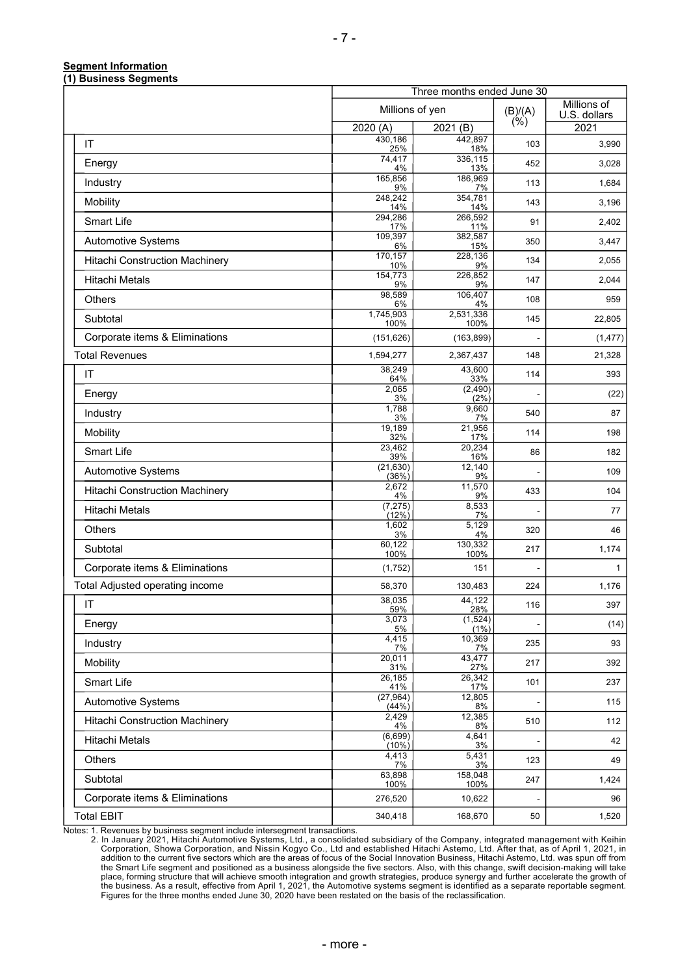#### **Segment Information (1) Business Segments**

|                                 |                    | Three months ended June 30 |                   |                             |
|---------------------------------|--------------------|----------------------------|-------------------|-----------------------------|
|                                 | Millions of yen    |                            | (B)/(A)<br>$(\%)$ | Millions of<br>U.S. dollars |
|                                 | 2020(A)            | 2021(B)                    |                   | 2021                        |
| IT                              | 430,186<br>25%     | 442,897<br>18%             | 103               | 3,990                       |
| Energy                          | 74,417<br>4%       | 336,115<br>13%             | 452               | 3,028                       |
| Industry                        | 165,856<br>9%      | 186,969<br>7%              | 113               | 1,684                       |
| Mobility                        | 248,242<br>14%     | 354,781<br>14%             | 143               | 3,196                       |
| Smart Life                      | 294,286<br>17%     | 266,592<br>11%             | 91                | 2,402                       |
| Automotive Systems              | 109,397<br>6%      | 382,587<br>15%             | 350               | 3,447                       |
| Hitachi Construction Machinery  | 170,157<br>10%     | 228,136<br>9%              | 134               | 2,055                       |
| Hitachi Metals                  | 154,773<br>9%      | 226,852<br>9%              | 147               | 2,044                       |
| Others                          | 98,589<br>6%       | 106,407<br>4%              | 108               | 959                         |
| Subtotal                        | 1,745,903<br>100%  | 2,531,336<br>100%          | 145               | 22,805                      |
| Corporate items & Eliminations  | (151, 626)         | (163, 899)                 |                   | (1, 477)                    |
| <b>Total Revenues</b>           | 1,594,277          | 2,367,437                  | 148               | 21,328                      |
| IT                              | 38,249<br>64%      | 43,600<br>33%              | 114               | 393                         |
| Energy                          | 2,065<br>3%        | (2, 490)<br>$(2\%)$        |                   | (22)                        |
| Industry                        | 1,788<br>3%        | 9,660<br>7%                | 540               | 87                          |
| Mobility                        | 19,189<br>32%      | 21,956<br>17%              | 114               | 198                         |
| Smart Life                      | 23,462<br>39%      | 20,234<br>16%              | 86                | 182                         |
| Automotive Systems              | (21, 630)<br>(36%) | 12,140<br>9%               |                   | 109                         |
| Hitachi Construction Machinery  | 2,672<br>4%        | 11,570<br>9%               | 433               | 104                         |
| <b>Hitachi Metals</b>           | (7, 275)<br>(12%)  | 8,533<br>7%                |                   | 77                          |
| Others                          | 1,602<br>3%        | 5,129<br>4%                | 320               | 46                          |
| Subtotal                        | 60,122<br>100%     | 130,332<br>100%            | 217               | 1,174                       |
| Corporate items & Eliminations  | (1,752)            | 151                        |                   | $\mathbf{1}$                |
| Total Adjusted operating income | 58,370             | 130,483                    | 224               | 1,176                       |
| $\sf IT$                        | 38,035<br>59%      | 44,122<br>28%              | 116               | 397                         |
| Energy                          | 3,073<br>5%        | (1,524)<br>(1%)            |                   | (14)                        |
| Industry                        | 4,415<br>7%        | 10,369<br>7%               | 235               | 93                          |
| Mobility                        | 20,011<br>31%      | 43,477<br>27%              | 217               | 392                         |
| Smart Life                      | 26,185<br>41%      | 26,342<br>17%              | 101               | 237                         |
| Automotive Systems              | (27, 964)<br>(44%) | 12,805<br>8%               |                   | 115                         |
| Hitachi Construction Machinery  | 2,429<br>4%        | 12,385<br>8%               | 510               | 112                         |
| Hitachi Metals                  | (6,699)<br>(10%)   | $\overline{4,641}$<br>3%   |                   | 42                          |
| Others                          | 4,413<br>7%        | $\overline{5,431}$<br>3%   | 123               | 49                          |
| Subtotal                        | 63,898<br>100%     | 158,048<br>100%            | 247               | 1,424                       |
| Corporate items & Eliminations  | 276,520            | 10,622                     |                   | 96                          |
| <b>Total EBIT</b>               | 340,418            | 168,670                    | 50                | 1,520                       |

Notes: 1. Revenues by business segment include intersegment transactions.

2. In January 2021, Hitachi Automotive Systems, Ltd., a consolidated subsidiary of the Company, integrated management with Keihin<br>Corporation, Showa Corporation, and Nissin Kogyo Co., Ltd and established Hitachi Astemo, Lt addition to the current five sectors which are the areas of focus of the Social Innovation Business, Hitachi Astemo, Ltd. was spun off from the Smart Life segment and positioned as a business alongside the five sectors. Also, with this change, swift decision-making will take place, forming structure that will achieve smooth integration and growth strategies, produce synergy and further accelerate the growth of the business. As a result, effective from April 1, 2021, the Automotive systems segment is identified as a separate reportable segment. Figures for the three months ended June 30, 2020 have been restated on the basis of the reclassification.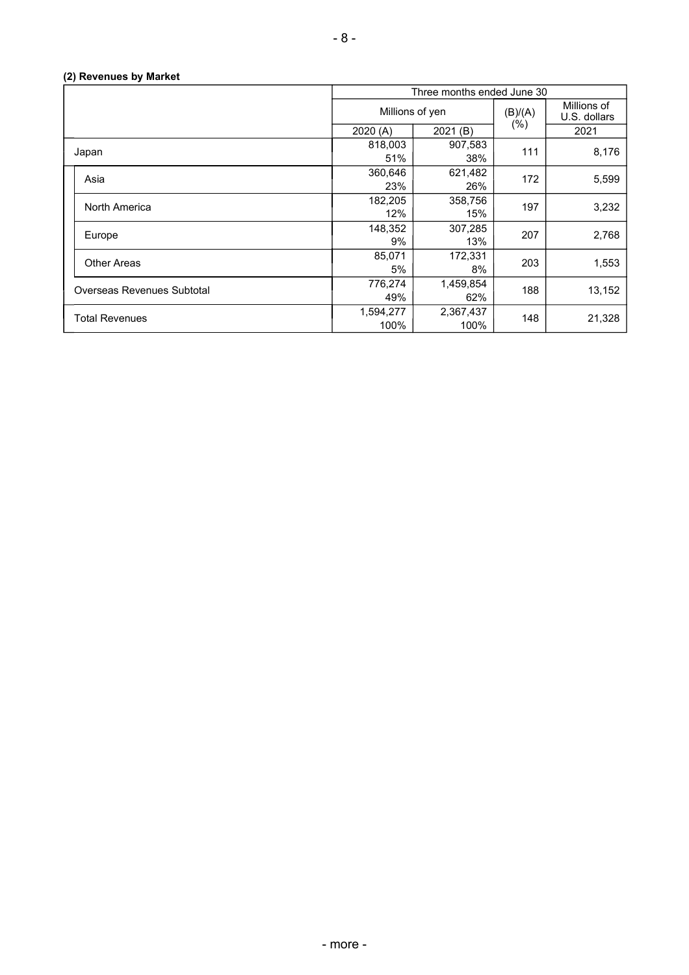## **(2) Revenues by Market**

|                            | Three months ended June 30 |                   |         |                             |  |  |
|----------------------------|----------------------------|-------------------|---------|-----------------------------|--|--|
|                            | Millions of yen            |                   | (B)/(A) | Millions of<br>U.S. dollars |  |  |
|                            | 2020(A)                    | 2021 (B)          | $(\%)$  | 2021                        |  |  |
| Japan                      | 818,003<br>51%             | 907,583<br>38%    | 111     | 8,176                       |  |  |
| Asia                       | 360,646<br>23%             | 621,482<br>26%    | 172     | 5,599                       |  |  |
| North America              | 182,205<br>12%             | 358,756<br>15%    | 197     | 3,232                       |  |  |
| Europe                     | 148,352<br>9%              | 307,285<br>13%    | 207     | 2,768                       |  |  |
| <b>Other Areas</b>         | 85,071<br>5%               | 172,331<br>8%     | 203     | 1,553                       |  |  |
| Overseas Revenues Subtotal | 776,274<br>49%             | 1,459,854<br>62%  | 188     | 13,152                      |  |  |
| <b>Total Revenues</b>      | 1,594,277<br>100%          | 2,367,437<br>100% | 148     | 21,328                      |  |  |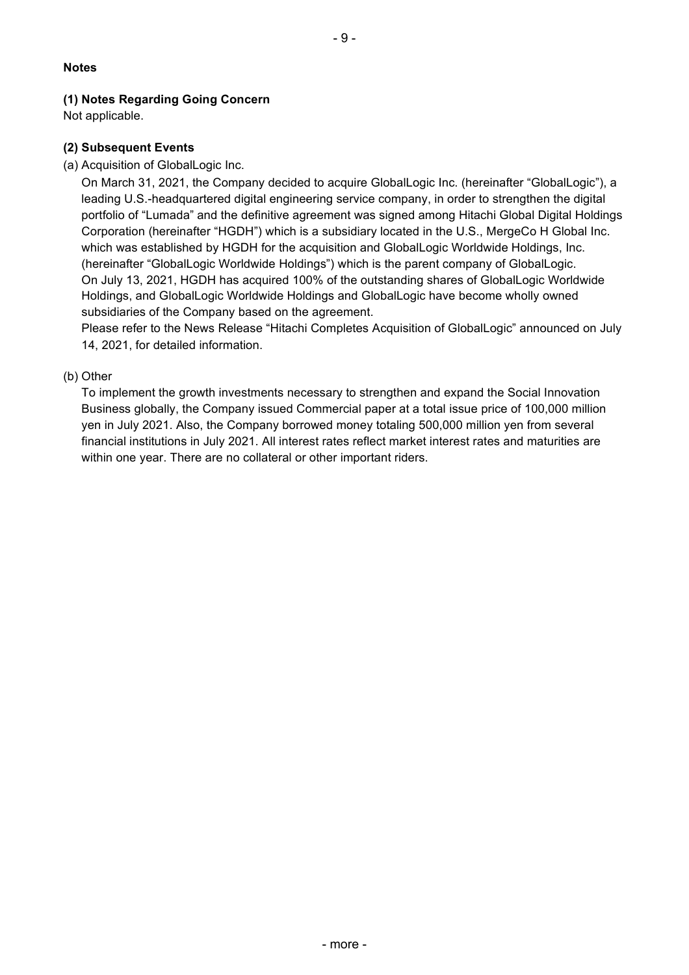## **Notes**

## **(1) Notes Regarding Going Concern**

Not applicable.

### **(2) Subsequent Events**

(a) Acquisition of GlobalLogic Inc.

On March 31, 2021, the Company decided to acquire GlobalLogic Inc. (hereinafter "GlobalLogic"), a leading U.S.-headquartered digital engineering service company, in order to strengthen the digital portfolio of "Lumada" and the definitive agreement was signed among Hitachi Global Digital Holdings Corporation (hereinafter "HGDH") which is a subsidiary located in the U.S., MergeCo H Global Inc. which was established by HGDH for the acquisition and GlobalLogic Worldwide Holdings, Inc. (hereinafter "GlobalLogic Worldwide Holdings") which is the parent company of GlobalLogic. On July 13, 2021, HGDH has acquired 100% of the outstanding shares of GlobalLogic Worldwide Holdings, and GlobalLogic Worldwide Holdings and GlobalLogic have become wholly owned subsidiaries of the Company based on the agreement.

Please refer to the News Release "Hitachi Completes Acquisition of GlobalLogic" announced on July 14, 2021, for detailed information.

### (b) Other

To implement the growth investments necessary to strengthen and expand the Social Innovation Business globally, the Company issued Commercial paper at a total issue price of 100,000 million yen in July 2021. Also, the Company borrowed money totaling 500,000 million yen from several financial institutions in July 2021. All interest rates reflect market interest rates and maturities are within one year. There are no collateral or other important riders.